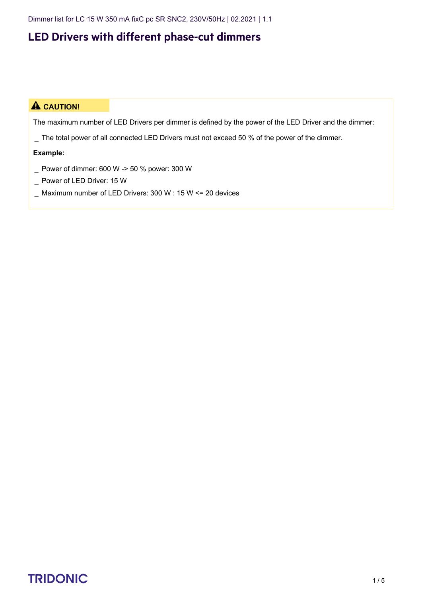Dimmer list for LC 15 W 350 mA fixC pc SR SNC2, 230V/50Hz | 02.2021 | 1.1

### **LED Drivers with different phase-cut dimmers**

#### $\triangle$  **CAUTION!**

The maximum number of LED Drivers per dimmer is defined by the power of the LED Driver and the dimmer:

\_ The total power of all connected LED Drivers must not exceed 50 % of the power of the dimmer.

#### **Example:**

- \_ Power of dimmer: 600 W -> 50 % power: 300 W
- \_ Power of LED Driver: 15 W
- \_ Maximum number of LED Drivers: 300 W : 15 W <= 20 devices

# TRIDONIC 1/5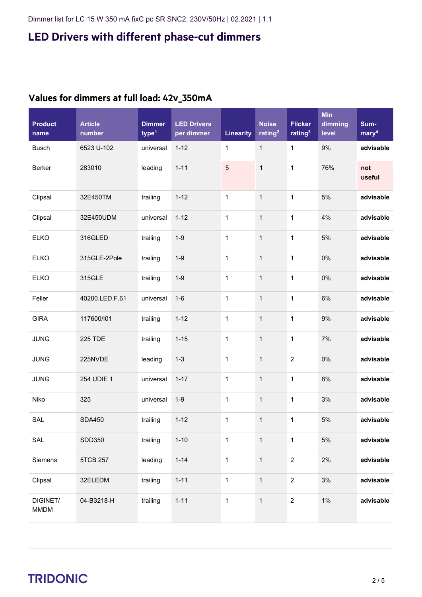| <b>Product</b><br>name  | <b>Article</b><br>number | <b>Dimmer</b><br>type <sup>1</sup> | <b>LED Drivers</b><br>per dimmer | <b>Linearity</b> | <b>Noise</b><br>rating <sup>2</sup> | <b>Flicker</b><br>rating <sup>3</sup> | <b>Min</b><br>dimming<br>level | Sum-<br>$m$ ary <sup>4</sup> |
|-------------------------|--------------------------|------------------------------------|----------------------------------|------------------|-------------------------------------|---------------------------------------|--------------------------------|------------------------------|
| <b>Busch</b>            | 6523 U-102               | universal                          | $1 - 12$                         | 1                | $\mathbf{1}$                        | $\mathbf{1}$                          | 9%                             | advisable                    |
| Berker                  | 283010                   | leading                            | $1 - 11$                         | 5                | $\mathbf 1$                         | $\mathbf 1$                           | 76%                            | not<br>useful                |
| Clipsal                 | 32E450TM                 | trailing                           | $1 - 12$                         | $\mathbf{1}$     | $\mathbf{1}$                        | 1                                     | 5%                             | advisable                    |
| Clipsal                 | 32E450UDM                | universal                          | $1 - 12$                         | $\mathbf 1$      | $\mathbf{1}$                        | $\mathbf 1$                           | 4%                             | advisable                    |
| <b>ELKO</b>             | 316GLED                  | trailing                           | $1-9$                            | $\mathbf 1$      | $\mathbf{1}$                        | 1                                     | $5%$                           | advisable                    |
| <b>ELKO</b>             | 315GLE-2Pole             | trailing                           | $1 - 9$                          | $\mathbf{1}$     | $\mathbf{1}$                        | 1                                     | 0%                             | advisable                    |
| <b>ELKO</b>             | 315GLE                   | trailing                           | $1 - 9$                          | $\mathbf 1$      | $\mathbf{1}$                        | 1                                     | 0%                             | advisable                    |
| Feller                  | 40200.LED.F.61           | universal                          | $1-6$                            | $\mathbf 1$      | $\mathbf{1}$                        | 1                                     | 6%                             | advisable                    |
| <b>GIRA</b>             | 117600/l01               | trailing                           | $1 - 12$                         | $\mathbf 1$      | $\mathbf{1}$                        | 1                                     | 9%                             | advisable                    |
| <b>JUNG</b>             | <b>225 TDE</b>           | trailing                           | $1 - 15$                         | $\mathbf 1$      | $\mathbf{1}$                        | 1                                     | 7%                             | advisable                    |
| <b>JUNG</b>             | 225NVDE                  | leading                            | $1 - 3$                          | $\mathbf 1$      | $\mathbf{1}$                        | $\overline{2}$                        | $0\%$                          | advisable                    |
| <b>JUNG</b>             | 254 UDIE 1               | universal                          | $1 - 17$                         | $\mathbf 1$      | $\mathbf{1}$                        | 1                                     | 8%                             | advisable                    |
| Niko                    | 325                      | universal                          | $1-9$                            | $\mathbf{1}$     | $\mathbf{1}$                        | 1                                     | 3%                             | advisable                    |
| SAL                     | <b>SDA450</b>            | trailing                           | $1 - 12$                         | 1                | 1                                   | 1                                     | $5%$                           | advisable                    |
| SAL                     | SDD350                   | trailing                           | $1 - 10$                         | $\mathbf{1}$     | $\mathbf{1}$                        | $\mathbf{1}$                          | $5\%$                          | advisable                    |
| Siemens                 | 5TCB 257                 | leading                            | $1 - 14$                         | $\mathbf{1}$     | $\mathbf{1}$                        | $\overline{2}$                        | 2%                             | advisable                    |
| Clipsal                 | 32ELEDM                  | trailing                           | $1 - 11$                         | $\mathbf{1}$     | $\mathbf{1}$                        | $\overline{2}$                        | 3%                             | advisable                    |
| DIGINET/<br><b>MMDM</b> | 04-B3218-H               | trailing                           | $1 - 11$                         | $\mathbf 1$      | $\mathbf{1}$                        | $\overline{2}$                        | $1\%$                          | advisable                    |

#### **Values for dimmers at full load: 42v\_350mA**

# $\begin{array}{ccc}\n\textbf{TRIDONIC} & & & & & \\
\textbf{TRIDONIC} & & & & & \\
\end{array}$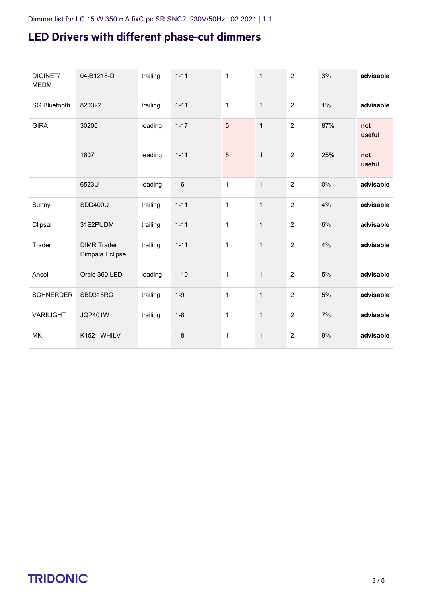| DIGINET/<br><b>MEDM</b> | 04-B1218-D                            | trailing | $1 - 11$ | $\mathbf{1}$   | $\mathbf{1}$ | $\overline{2}$ | 3%  | advisable     |
|-------------------------|---------------------------------------|----------|----------|----------------|--------------|----------------|-----|---------------|
| <b>SG Bluetooth</b>     | 820322                                | trailing | $1 - 11$ | 1              | $\mathbf{1}$ | $\overline{2}$ | 1%  | advisable     |
| <b>GIRA</b>             | 30200                                 | leading  | $1 - 17$ | $\overline{5}$ | $\mathbf{1}$ | $\overline{2}$ | 87% | not<br>useful |
|                         | 1607                                  | leading  | $1 - 11$ | 5              | $\mathbf{1}$ | $\overline{2}$ | 25% | not<br>useful |
|                         | 6523U                                 | leading  | $1-6$    | $\mathbf 1$    | $\mathbf{1}$ | $\overline{2}$ | 0%  | advisable     |
| Sunny                   | SDD400U                               | trailing | $1 - 11$ | $\mathbf{1}$   | $\mathbf{1}$ | $\overline{2}$ | 4%  | advisable     |
| Clipsal                 | 31E2PUDM                              | trailing | $1 - 11$ | 1              | $\mathbf{1}$ | $\overline{2}$ | 6%  | advisable     |
| Trader                  | <b>DIMR Trader</b><br>Dimpala Eclipse | trailing | $1 - 11$ | $\mathbf{1}$   | $\mathbf{1}$ | $\overline{2}$ | 4%  | advisable     |
| Ansell                  | Orbio 360 LED                         | leading  | $1 - 10$ | $\mathbf{1}$   | $\mathbf{1}$ | $\overline{2}$ | 5%  | advisable     |
| <b>SCHNERDER</b>        | SBD315RC                              | trailing | $1-9$    | 1              | $\mathbf{1}$ | $\overline{2}$ | 5%  | advisable     |
| <b>VARILIGHT</b>        | <b>JQP401W</b>                        | trailing | $1 - 8$  | 1              | $\mathbf{1}$ | $\overline{2}$ | 7%  | advisable     |
| MK                      | K1521 WHILV                           |          | $1 - 8$  | $\mathbf{1}$   | $\mathbf{1}$ | $\overline{2}$ | 9%  | advisable     |

## $\begin{array}{ccc}\n\textbf{TRIDONIC} & & & & & & \\
\textbf{TRIDONIC} & & & & & & \\
\end{array}$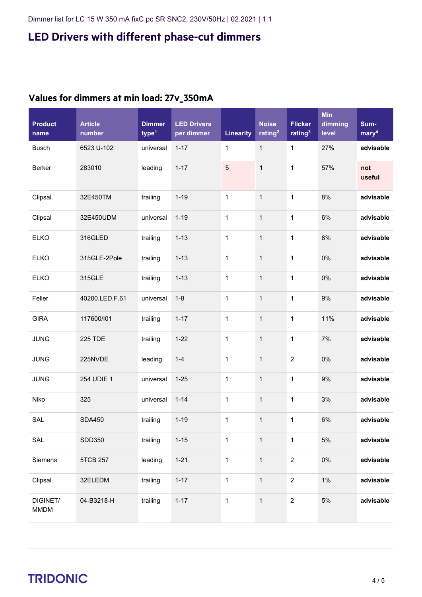| <b>Product</b><br>name  | <b>Article</b><br>number | <b>Dimmer</b><br>type <sup>1</sup> | <b>LED Drivers</b><br>per dimmer | <b>Linearity</b> | <b>Noise</b><br>rating <sup>2</sup> | <b>Flicker</b><br>rating <sup>3</sup> | <b>Min</b><br>dimming<br>level | Sum-<br>mary <sup>4</sup> |
|-------------------------|--------------------------|------------------------------------|----------------------------------|------------------|-------------------------------------|---------------------------------------|--------------------------------|---------------------------|
| <b>Busch</b>            | 6523 U-102               | universal                          | $1 - 17$                         | 1                | $\mathbf{1}$                        | $\mathbf 1$                           | 27%                            | advisable                 |
| Berker                  | 283010                   | leading                            | $1 - 17$                         | $\overline{5}$   | $\mathbf{1}$                        | $\mathbf{1}$                          | 57%                            | not<br>useful             |
| Clipsal                 | 32E450TM                 | trailing                           | $1 - 19$                         | $\mathbf 1$      | $\mathbf{1}$                        | $\mathbf{1}$                          | 8%                             | advisable                 |
| Clipsal                 | 32E450UDM                | universal                          | $1 - 19$                         | $\mathbf{1}$     | $\mathbf{1}$                        | $\mathbf{1}$                          | 6%                             | advisable                 |
| <b>ELKO</b>             | 316GLED                  | trailing                           | $1 - 13$                         | $\mathbf 1$      | $\mathbf{1}$                        | $\mathbf{1}$                          | 8%                             | advisable                 |
| <b>ELKO</b>             | 315GLE-2Pole             | trailing                           | $1 - 13$                         | $\mathbf 1$      | $\mathbf{1}$                        | $\mathbf{1}$                          | 0%                             | advisable                 |
| <b>ELKO</b>             | 315GLE                   | trailing                           | $1 - 13$                         | $\mathbf 1$      | $\mathbf{1}$                        | $\mathbf{1}$                          | 0%                             | advisable                 |
| Feller                  | 40200.LED.F.61           | universal                          | $1 - 8$                          | $\mathbf 1$      | $\mathbf{1}$                        | $\mathbf{1}$                          | 9%                             | advisable                 |
| <b>GIRA</b>             | 117600/l01               | trailing                           | $1 - 17$                         | 1                | $\mathbf{1}$                        | $\mathbf 1$                           | 11%                            | advisable                 |
| <b>JUNG</b>             | <b>225 TDE</b>           | trailing                           | $1 - 22$                         | $\mathbf 1$      | $\mathbf{1}$                        | $\mathbf{1}$                          | 7%                             | advisable                 |
| <b>JUNG</b>             | 225NVDE                  | leading                            | $1 - 4$                          | $\mathbf 1$      | $\mathbf{1}$                        | $\boldsymbol{2}$                      | 0%                             | advisable                 |
| <b>JUNG</b>             | 254 UDIE 1               | universal                          | $1 - 25$                         | $\mathbf 1$      | $\mathbf{1}$                        | $\mathbf 1$                           | 9%                             | advisable                 |
| Niko                    | 325                      | universal                          | $1 - 14$                         | 1                | $\mathbf{1}$                        | $\mathbf 1$                           | 3%                             | advisable                 |
| SAL                     | <b>SDA450</b>            | trailing                           | $1 - 19$                         | 1                | $\mathbf{1}$                        | 1                                     | 6%                             | advisable                 |
| SAL                     | SDD350                   | trailing                           | $1 - 15$                         | $\mathbf{1}$     | $\mathbf{1}$                        | $\mathbf{1}$                          | $5\%$                          | advisable                 |
| Siemens                 | 5TCB 257                 | leading                            | $1 - 21$                         | $\mathbf{1}$     | $\mathbf{1}$                        | $\overline{2}$                        | $0\%$                          | advisable                 |
| Clipsal                 | 32ELEDM                  | trailing                           | $1 - 17$                         | $\mathbf{1}$     | $\mathbf{1}$                        | $\overline{2}$                        | $1\%$                          | advisable                 |
| DIGINET/<br><b>MMDM</b> | 04-B3218-H               | trailing                           | $1 - 17$                         | $\mathbf{1}$     | $\mathbf{1}$                        | $\overline{2}$                        | $5\%$                          | advisable                 |

#### **Values for dimmers at min load: 27v\_350mA**

# $\begin{array}{c}\n\textbf{TRIDONIC} \\
\textbf{4/5}\n\end{array}$